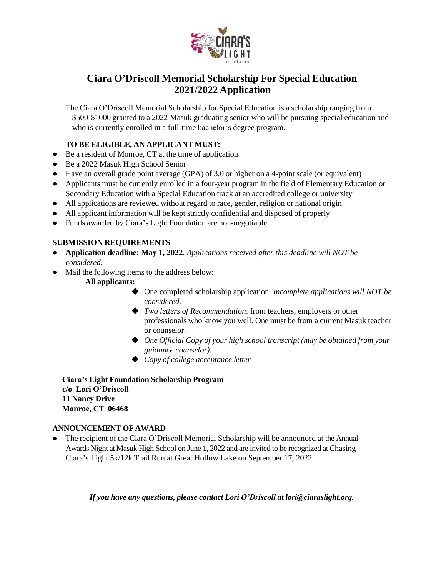

# **Ciara O'Driscoll Memorial Scholarship For Special Education 2021/2022 Application**

The Ciara O'Driscoll Memorial Scholarship for Special Education is a scholarship ranging from \$500-\$1000 granted to a 2022 Masuk graduating senior who will be pursuing special education and who is currently enrolled in a full-time bachelor's degree program.

# **TO BE ELIGIBLE, AN APPLICANT MUST:**

- Be a resident of Monroe, CT at the time of application
- Be a 2022 Masuk High School Senior
- Have an overall grade point average (GPA) of 3.0 or higher on a 4-point scale (or equivalent)
- Applicants must be currently enrolled in a four-year program in the field of Elementary Education or Secondary Education with a Special Education track at an accredited college or university
- All applications are reviewed without regard to race, gender, religion or national origin
- All applicant information will be kept strictly confidential and disposed of properly
- Funds awarded by Ciara's Light Foundation are non-negotiable

### **SUBMISSION REQUIREMENTS**

- **● Application deadline: May 1, 2022***. Applications received after this deadline will NOT be considered.*
- Mail the following items to the address below:

### **All applicants:**

- ◆ One completed scholarship application. *Incomplete applications will NOT be considered.*
- ◆ *Two letters of Recommendation*: from teachers, employers or other professionals who know you well. One must be from a current Masuk teacher or counselor.
- ◆ *One Official Copy of your high school transcript (may be obtained from your guidance counselor).*
- ◆ *Copy of college acceptance letter*

**Ciara's Light Foundation Scholarship Program c/o Lori O'Driscoll 11 Nancy Drive Monroe, CT 06468**

### **ANNOUNCEMENT OF AWARD**

The recipient of the Ciara O'Driscoll Memorial Scholarship will be announced at the Annual Awards Night at Masuk High School on June 1, 2022 and are invited to be recognized at Chasing Ciara's Light 5k/12k Trail Run at Great Hollow Lake on September 17, 2022.

*If you have any questions, please contact Lori O'Driscoll at [lori@ciaraslight.org.](mailto:lori@ciaraslight.org)*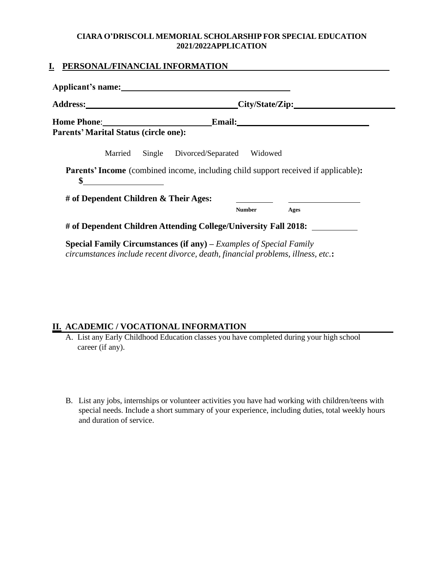### **CIARA O'DRISCOLL MEMORIAL SCHOLARSHIP FOR SPECIAL EDUCATION 2021/2022APPLICATION**

### **I. PERSONAL/FINANCIAL INFORMATION**

| Address: City/State/Zip: City/State/Zip:                                                                                                                                                                                            |
|-------------------------------------------------------------------------------------------------------------------------------------------------------------------------------------------------------------------------------------|
| <b>Email:</b> 2008. 2010. 2010. 2012. 2012. 2012. 2012. 2012. 2012. 2013. 2014. 2015. 2016. 2017. 2017. 2017. 2017. 2017. 2017. 2017. 2017. 2017. 2017. 2017. 2017. 2017. 2017. 2017. 2017. 2017. 2017. 2017. 2017. 2017. 2017. 201 |
| <b>Parents' Marital Status (circle one):</b>                                                                                                                                                                                        |
| Married<br>Single Divorced/Separated Widowed                                                                                                                                                                                        |
| <b>Parents' Income</b> (combined income, including child support received if applicable):                                                                                                                                           |
| \$                                                                                                                                                                                                                                  |
| # of Dependent Children & Their Ages:                                                                                                                                                                                               |
| <b>Number</b><br>Ages                                                                                                                                                                                                               |
| # of Dependent Children Attending College/University Fall 2018:                                                                                                                                                                     |

# **II. ACADEMIC / VOCATIONAL INFORMATION**

- A. List any Early Childhood Education classes you have completed during your high school career (if any).
- B. List any jobs, internships or volunteer activities you have had working with children/teens with special needs. Include a short summary of your experience, including duties, total weekly hours and duration of service.